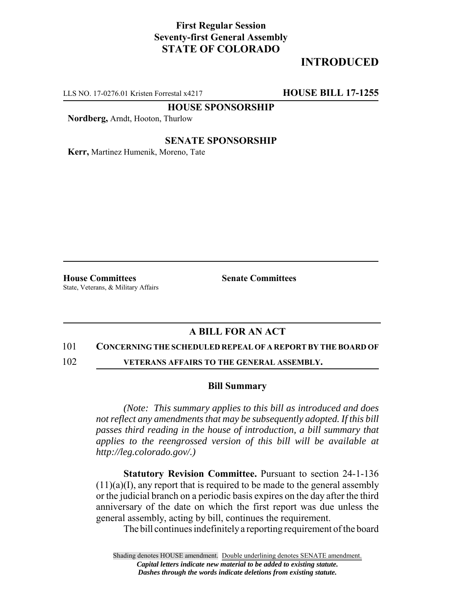## **First Regular Session Seventy-first General Assembly STATE OF COLORADO**

# **INTRODUCED**

LLS NO. 17-0276.01 Kristen Forrestal x4217 **HOUSE BILL 17-1255**

**HOUSE SPONSORSHIP**

**Nordberg,** Arndt, Hooton, Thurlow

### **SENATE SPONSORSHIP**

**Kerr,** Martinez Humenik, Moreno, Tate

**House Committees Senate Committees** State, Veterans, & Military Affairs

## **A BILL FOR AN ACT**

### 101 **CONCERNING THE SCHEDULED REPEAL OF A REPORT BY THE BOARD OF**

102 **VETERANS AFFAIRS TO THE GENERAL ASSEMBLY.**

### **Bill Summary**

*(Note: This summary applies to this bill as introduced and does not reflect any amendments that may be subsequently adopted. If this bill passes third reading in the house of introduction, a bill summary that applies to the reengrossed version of this bill will be available at http://leg.colorado.gov/.)*

**Statutory Revision Committee.** Pursuant to section 24-1-136  $(11)(a)(I)$ , any report that is required to be made to the general assembly or the judicial branch on a periodic basis expires on the day after the third anniversary of the date on which the first report was due unless the general assembly, acting by bill, continues the requirement.

The bill continues indefinitely a reporting requirement of the board